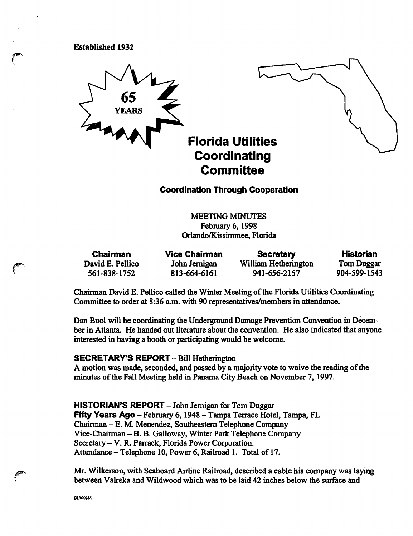#### Established 1932



Coordination Through Cooperation

MEETING MINUTES February 6, 1998 Orlando/Kissimmee, Florida

| <b>Chairman</b>  | <b>Vice Chairman</b> | <b>Secretary</b>     | <b>Historian</b>  |
|------------------|----------------------|----------------------|-------------------|
| David E. Pellico | John Jernigan        | William Hetherington | <b>Tom Duggar</b> |
| 561-838-1752     | 813-664-6161         | 941-656-2157         | 904-599-1543      |

Chairman David E. Pellico called the Winter Meeting of the Florida Utilities Coordinating Committee to order at 8:36 a.m. with 90 representatives/members in attendance.

Dan Buol will be coordinating the Underground Damage Prevention Convention in December in Atlanta. He handed out literature about the convention. He also indicated that anyone interested in having a booth or participating would be welcome.

#### SECRETARY'S REPORT - Bill Hetherington

A motion was made, seconded, and passed by a majority vote to waive the reading of the minutes of the Fall Meeting held in Panama City Beach on November 7, 1997.

HISTORIAN'S REPORT - John Jernigan for Tom Duggar Fifty Years Ago - February 6, 1948 - Tampa Terrace Hotel, Tampa, FL Chairman - E. M. Menendez, Southeastern Telephone Company Vice-Chairman -B. B. Galloway, Winter Park Telephone Company Secretary - V. R. Parrack, Florida Power Corporation. Attendance - Telephone 10, Power 6, Railroad 1. Total of 17.

Mr. Wilkerson, with Seaboard Airline Railroad, described a cable his company was laying between Valreka and Wildwood which was to be laid 42 inches below the surface and

DIR0028/I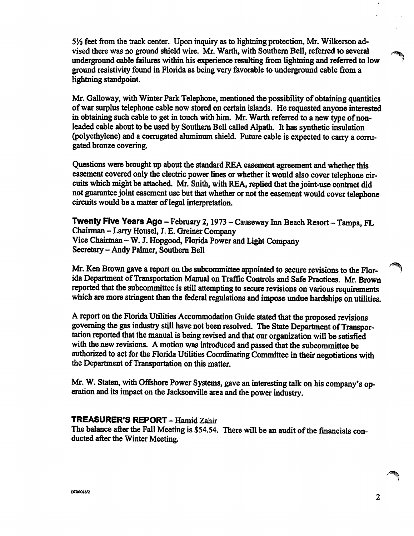5<sup>1</sup>/<sub>2</sub> feet from the track center. Upon inquiry as to lightning protection, Mr. Wilkerson advised there was no ground shield wire. Mr. Warth, with Southern Bell, referred to several underground cable failures within his experience resulting from lightning and referred to low ground resistivity found in Florida as being very favorable to underground cable from a lightning standpoint.

Mr. Galloway, with Winter Park Telephone, mentioned the possibility of obtaining quantities of war surplus telephone cable now stored on certain islands. He requested anyone interested in obtaining such cable to get in touch with him. Mr. Warth referred to a new type of nonleaded cable about to be used by Southern Bell called Alpath. It has synthetic insulation (polyethylene) and a corrugated aluminum shield. Future cable is expected to carry a corru gated bronze covering.

Questions were brought up about the standard REA easement agreement and whether this easement covered only the electric power lines or whether it would also cover telephone cir cuits which might be attached. Mr. Snith, with REA, replied that the joint-use contract did not guarantee joint easement use but that whether or not the easement would cover telephone circuits would be a matter of legal interpretation.

Twenty Five Years Ago - February 2, 1973 - Causeway Inn Beach Resort - Tampa, FL Chairman - Larry Housel, J. E. Greiner Company Vice Chairman - W. J. Hopgood, Florida Power and Light Company Secretary - Andy Palmer, Southern Bell

Mr. Ken Brown gave a report on the subcommittee appointed to secure revisions to the Flor ida Department of Transportation Manual on Traffic Controls and Safe Practices. Mr. Brown reported that the subcommittee is still attempting to secure revisions on various requirements which are more stringent than the federal regulations and impose undue hardships on utilities.

A report on the Florida Utilities Accommodation Guide stated that the proposed revisions governing the gas industry still have not been resolved. The State Department of Transpor tation reported that the manual is being revised and that our organization will be satisfied with the new revisions. A motion was introduced and passed that the subcommittee be authorized to act for the Florida Utilities Coordinating Committee in their negotiations with the Department of Transportation on this matter.

Mr. W. Staten, with Offshore Power Systems, gave an interesting talk on his company's operation and its impact on the Jacksonville area and the power industry.

# TREASURER'S REPORT - Hamid Zahir

The balance after the Fall Meeting is \$54.54. There will be an audit of the financials con ducted after the Winter Meeting.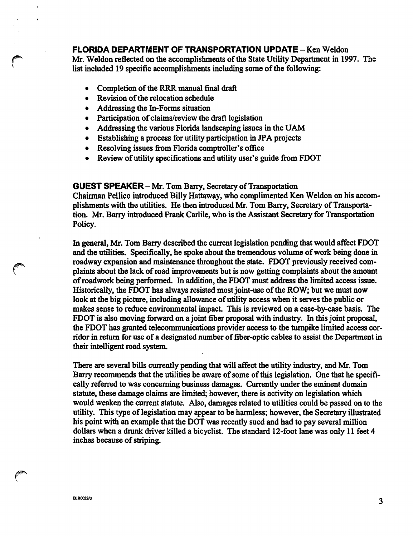## FLORIDA DEPARTMENT OF TRANSPORTATION UPDATE - Ken Weldon

Mr. Weldon reflected on the accomplishments of the State Utility Department in 1997. The list included 19 specific accomplishments including some of the following:

- Completion of the RRR manual final draft
- Revision of the relocation schedule
- Addressing the In-Forms situation
- Participation of claims/review the draft legislation
- Addressing the various Florida landscaping issues in the UAM
- Establishing a process for utility participation in JPA projects
- Resolving issues from Florida comptroller's office
- Review of utility specifications and utility user's guide from FDOT

GUEST SPEAKER - Mr. Tom Barry, Secretary of Transportation Chairman Pellico introduced Billy Hattaway, who complimented Ken Weldon on his accom plishments with the utilities. He then introduced Mr. Tom Barry, Secretary of Transporta tion. Mr. Barry introduced Frank Carlile, who is the Assistant Secretary for Transportation

In general, Mr. Tom Barry described the current legislation pending that would affect FDOT and the utilities. Specifically, he spoke about the tremendous volume of work being done in roadway expansion and maintenance throughout the state. FDOT previously received com plaints about the lack of road improvements but is now getting complaints about the amount of roadwork being performed. In addition, the FDOT must address the limited access issue. Historically, the FDOT has always resisted most joint-use of the ROW; but we must now look at the big picture, including allowance of utility access when it serves the public or makes sense to reduce environmental impact. This is reviewed on a case-by-case basis. The FDOT is also moving forward on a joint fiber proposal with industry. In this joint proposal, the FDOT has granted telecommunications provider access to the turnpike limited access cor ridor in retum for use of a designated number of fiber-optic cables to assist the Department in their intelligent road system.

There are several bills currently pending that will affect the utility industry, and Mr. Tom Barry recommends that the utilities be aware of some of this legislation. One that he specifi cally referred to was concerning business damages. Currently under the eminent domain statute, these damage claims are limited; however, there is activity on legislation which would weaken the current statute. Also, damages related to utilities could be passed on to the utility. This type of legislation may appear to be harmless; however, the Secretary illustrated his point with an example that the DOT was recently sued and had to pay several million dollars when a drunk driver killed a bicyclist. The standard 12-foot lane was only 11 feet 4 inches because of striping.

Policy.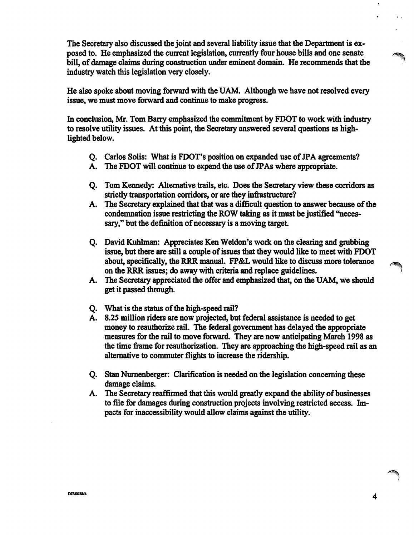The Secretary also discussed the joint and several liability issue that the Department is ex posed to. He emphasized the current legislation, currently four house bills and one senate bill, of damage claims during construction under eminent domain. He recommends that the industry watch this legislation very closely.

He also spoke about moving forward with the UAM. Although we have not resolved every issue, we must move forward and continue to make progress.

In conclusion, Mr. Tom Barry emphasized the commitment by FDOT to work with industry to resolve utility issues. At this point, the Secretary answered several questions as high lighted below.

- Q. Carlos Soils: What is FDOT's position on expanded use of JPA agreements?
- A. The FDOT will continue to expand the use of JP As where appropriate.
- Q. Tom Kennedy: Alternative trails, etc. Does the Secretary view these corridors as strictly transportation corridors, or are they infrastructure?
- A. The Secretary explained that that was a difficult question to answer because of the condemnation issue restricting the ROW taking as it must be justified "neces sary," but the definition of necessary is a moving target.
- Q. David Kuhhnan: Appreciates Ken Weldon's work on the clearing and grubbing issue, but there are still a couple of issues that they would like to meet with FDOT about, specifically, the RRR manual. FP&L would like to discuss more tolerance on the RRR issues; do away with criteria and replace guidelines.
- A. The Secretary appreciated the offer and emphasized that, on the UAM, we should get it passed through.
- Q. What is the status of the high-speed rail?
- A. 8.25 million riders are now projected, but federal assistance is needed to get money to reauthorize rail. The federal government has delayed the appropriate measures for the rail to move forward. They are now anticipating March 1998 as the time frame for reauthorization. They are approaching the high-speed rail as an altemative to commuter flights to increase the ridership.
- Q. Stan Numenberger: Clarification is needed on the legislation concerning these damage claims.
- A. The Secretary reaffirmed that this would greatly expand the ability of businesses to file for damages during construction projects involving restricted access. Im pacts for inaccessibility would allow claims against die utility.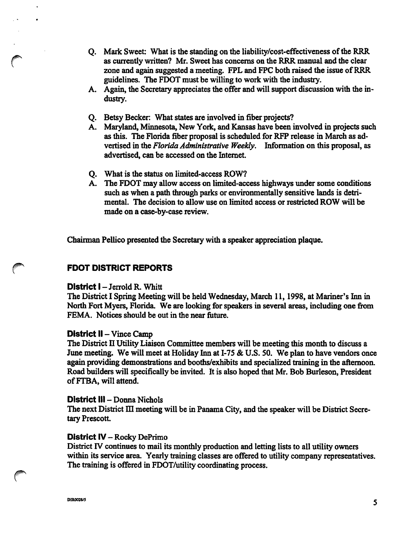- Q. Mark Sweet: What is the standing on the liability/cost-effectiveness of the RRR as currently written? Mr. Sweet has concerns on the RRR manual and the clear zone and again suggested a meeting. FPL and FPC both raised the issue of RRR guidelines. The FDOT must be willing to work with the industry.
- A. Again, the Secretary appreciates the offer and will support discussion with the in dustry.
- Q. Betsy Becker: What states are involved in fiber projects?
- A. Maryland, Minnesota, New York, and Kansas have been involved in projects such as this. The Florida fiber proposal is scheduled for RFP release in March as ad vertised in the Florida Administrative Weekly. Information on this proposal, as advertised, can be accessed on the Intemet.
- Q. What is the status on limited-access ROW?
- A. The FDOT may allow access on limited-access highways under some conditions such as when a path through parks or environmentally sensitive lands is detri mental. The decision to allow use on limited access or restricted ROW will be made on a case-by-case review.

Chairman Pellico presented the Secretary with a speaker appreciation plaque.

# FDOT DISTRICT REPORTS

#### District I - Jerrold R. Whitt

The District I Spring Meeting will be held Wednesday, March 11, 1998, at Mariner's Inn in North Fort Myers, Florida. We are looking for speakers in several areas, including one from FEMA. Notices should be out in the near future.

#### District II - Vince Camp

The District II Utility Liaison Committee members will be meeting this month to discuss a June meeting. We will meet at Holiday Inn at I-75 & U.S. 50. We plan to have vendors once again providing demonstrations and booths/exhibits and specialized training in the aftemoon. Road builders will specifically be invited. It is also hoped that Mr. Bob Burleson, President of FTBA, will attend.

## District III - Donna Nichols

The next District III meeting will be in Panama City, and the speaker will be District Secretary Prescott

#### District IV - Rocky DePrimo

District IV continues to mail its monthly production and letting lists to all utility owners within its service area. Yearly training classes are offered to utility company representatives. The training is offered in FDOT/utility coordinating process.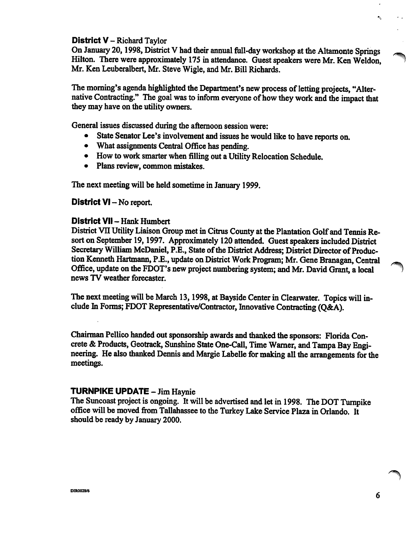## District V - Richard Taylor

On January 20,1998, District V had their annual full-day workshop at the Altamonte Springs Hilton. There were approximately 175 in attendance. Guest speakers were Mr. Ken Weldon, Mr. Ken Leuberalbert, Mr. Steve Wigle, and Mr. Bill Richards.

The morning's agenda highlighted the Department's new process of letting projects, "Alter native Contracting." The goal was to inform everyone of how they work and the impact that they may have on the utility owners.

General issues discussed during the afternoon session were;

- State Senator Lee's involvement and issues he would like to have reports on.
- What assignments Central Office has pending.
- How to work smarter when filling out a Utility Relocation Schedule.
- Plans review, common mistakes.

The next meeting will be held sometime in January 1999.

#### District VI – No report.

## District VII - Hank Humbert

District VII Utility Liaison Group met in Citrus County at the Plantation Golf and Tennis Resort on September 19,1997. Approximately 120 attended. Guest speakers included District Secretary William McDaniel, P.E., State of the District Address; District Director of Produc tion Kenneth Hartmann, P.E., update on District Work Program; Mr. Gene Branagan, Central Office, update on the FDOT's new project numbering system; and Mr. David Grant, a local news TV weather forecaster.

The next meeting will be March 13, 1998, at Bayside Center in Clearwater. Topics will in clude In Forms; FDOT Representative/Contractor, Innovative Contracting (Q&A).

Chairman Pellico handed out sponsorship awards and thanked the sponsors: Florida Con crete & Products, Geotrack, Sunshine State One-Call, Time Wamer, and Tampa Bay Engi neering. He also thanked Dennis and Margie Labelle for making all the arrangements for the meetings.

## TURNPIKE UPDATE - Jim Haynie

The Suncoast project is ongoing. It will be advertised and let in 1998. The DOT Tumpike office will be moved from Tallahassee to the Turkey Lake Service Plaza in Orlando. It should be ready by January 2000.

k,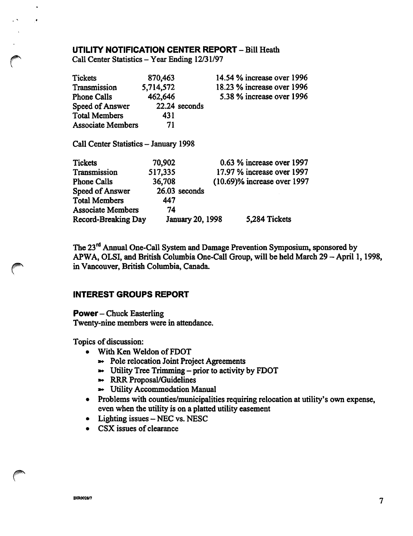## UTILITY NOTIFICATION CENTER REPORT - Bill Heath

Call Center Statistics - Year Ending 12/31/97

 $\ddot{\phantom{0}}$ 

| <b>Tickets</b>                        | 870,463                 | 14.54 % increase over 1996  |
|---------------------------------------|-------------------------|-----------------------------|
| Transmission                          | 5,714,572               | 18.23 % increase over 1996  |
| <b>Phone Calls</b>                    | 462,646                 | 5.38 % increase over 1996   |
| Speed of Answer                       | 22.24 seconds           |                             |
| <b>Total Members</b>                  | 431                     |                             |
| <b>Associate Members</b>              | 71                      |                             |
| Call Center Statistics - January 1998 |                         |                             |
| <b>Tickets</b>                        | 70,902                  | $0.63$ % increase over 1997 |
| Transmission                          | 517,335                 | 17.97 % increase over 1997  |
| <b>Phone Calls</b>                    | 36,708                  | (10.69)% increase over 1997 |
| Speed of Answer                       | 26.03 seconds           |                             |
| <b>Total Members</b>                  | 447                     |                             |
| <b>Associate Members</b>              | 74                      |                             |
| Record-Breaking Day                   | <b>January 20, 1998</b> | 5,284 Tickets               |

The 23<sup>rd</sup> Annual One-Call System and Damage Prevention Symposium, sponsored by APWA, OLSI, and British Columbia One-Call Group, will be held March 29 - April 1, 1998, in Vancouver, British Columbia, Canada.

## INTEREST GROUPS REPORT

Power—Chuck Easterling Twenty-nine members were in attendance.

Topics of discussion:

- With Ken Weldon of FDOT
	- »- Pole relocation Joint Project Agreements
	- Utility Tree Trimming prior to activity by FDOT
	- »\* RRR Proposal/Guidelines
	- >\* Utility Accommodation Manual
- Problems with counties/municipalities requiring relocation at utility's own expense, even when the utility is on a platted utility easement
- Lighting issues NEC vs. NESC
- CSX issues of clearance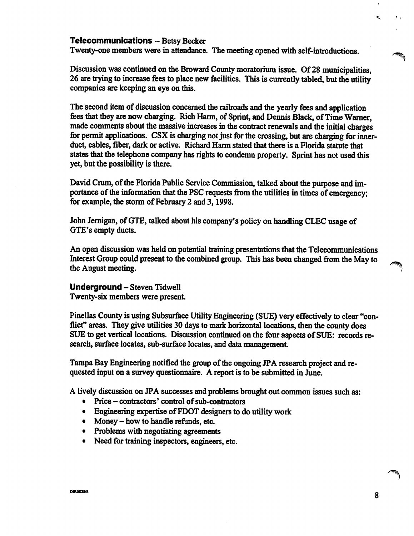# Telecommunications - Betsy Becker

Twenty-one members were in attendance. The meeting opened with self-introductions.

Discussion was continued on the Broward County moratorium issue. Of 28 municipalities, 26 are trying to increase fees to place new facilities. This is currently tabled, but the utility companies are keeping an eye on this.

The second item of discussion concemed the railroads and the yearly fees and application fees that they are now charging. Rich Harm, of Sprint, and Dennis Black, of Time Wamer, made comments about the massive increases in the contract renewals and the initial charges for permit applications. CSX is charging not just for the crossing, but are charging for innerduct, cables, fiber, dark or active. Richard Harm stated that there is a Florida statute that states that the telephone company has rights to condemn property. Sprint has not used this yet, but the possibility is there.

David Crum, of the Florida Public Service Commission, talked about the purpose and im portance of die information that the PSC requests from the utilities in times of emergency; for example, the storm of February 2 and 3, 1998.

John Jemigan, of GTE, talked about his company's policy on handling CLEG usage of GTE's empty ducts.

An open discussion was held on potential training presentations that the Telecommunications Interest Group could present to the combined group. This has been changed from the May to the August meeting.

## Underground - Steven Tidwell

Twenty-six members were present.

Pinellas County is using Subsurface Utility Engineering (SUE) very effectively to clear "con flict" areas. They give utilities 30 days to mark horizontal locations, then the county does SUE to get vertical locations. Discussion continued on the four aspects of SUE: records research, surface locates, sub-surface locates, and data management.

Tampa Bay Engineering notified the group of the ongoing JPA research project and re quested input on a survey questionnaire. A report is to be submitted in June.

A lively discussion on JPA successes and problems brought out common issues such as:

- Price contractors' control of sub-contractors
- Engineering expertise of FDOT designers to do utility work
- Money how to handle refunds, etc.
- Problems with negotiating agreements
- Need for training inspectors, engineers, etc.

 $\bullet$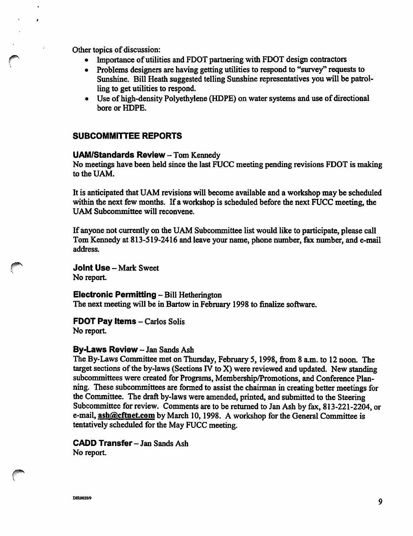Other topics of discussion:

- Importance of utilities and FDOT partnering with FDOT design contractors
- Problems designers are having getting utilities to respond to "survey" requests to Sunshine. Bill Heath suggested telling Sunshine representatives you will be patrol ling to get utilities to respond.
- Use of high-density Polyethylene (HDPE) on water systems and use of directional bore or HDPE.

## SUBCOMMITTEE REPORTS

## UAM/Standards Review - Tom Kennedy

No meetings have been held since the last FIJCC meeting pending revisions FDOT is making to the UAM.

It is anticipated that UAM revisions will become available and a workshop may be scheduled within the next few months. If a workshop is scheduled before the next FUCC meeting, the UAM Subcommittee will reconvene.

If anyone not currently on the UAM Subcommittee list would like to participate, please call Tom Kennedy at 813-519-2416 and leave your name, phone number, fax number, and e-mail address.

Joint Use — Mark Sweet No report.

Electronic Permitting - Bill Hetherington The next meeting will be in Bartow in February 1998 to finalize software.

FDOT Pay Items - Carlos Solis No report

## By-Laws Review - Jan Sands Ash

The By-Laws Committee met on Thursday, February 5, 1998, from 8 a.m. to 12 noon. The target sections of the by-laws (Sections IV to X) were reviewed and updated. New standing subcommittees were created for Programs, Membership/Promotions, and Conference Plan ning. These subcommittees are formed to assist the chairman in creating better meetings for the Committee. The draft by-laws were amended, printed, and submitted to the Steering Subcommittee for review. Comments are to be returned to Jan Ash by fax, 813-221-2204, or e-mail, ash@cftnet.com by March 10, 1998. A workshop for the General Committee is tentatively scheduled for the May FUCC meeting.

CADD Transfer-Jan Sands Ash No report.